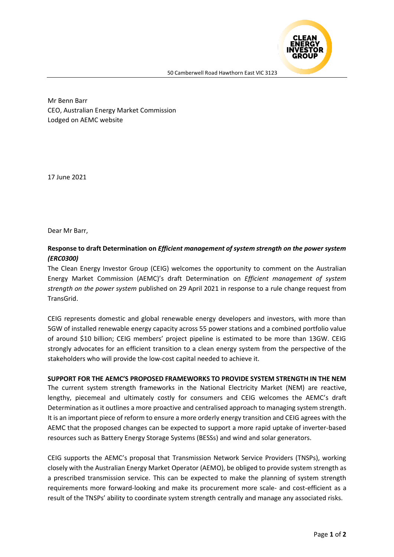

Mr Benn Barr CEO, Australian Energy Market Commission Lodged on AEMC website

17 June 2021

Dear Mr Barr,

## **Response to draft Determination on** *Efficient management of system strength on the power system (ERC0300)*

The Clean Energy Investor Group (CEIG) welcomes the opportunity to comment on the Australian Energy Market Commission (AEMC)'s draft Determination on *Efficient management of system strength on the power system* published on 29 April 2021 in response to a rule change request from TransGrid.

CEIG represents domestic and global renewable energy developers and investors, with more than 5GW of installed renewable energy capacity across 55 power stations and a combined portfolio value of around \$10 billion; CEIG members' project pipeline is estimated to be more than 13GW. CEIG strongly advocates for an efficient transition to a clean energy system from the perspective of the stakeholders who will provide the low-cost capital needed to achieve it.

**SUPPORT FOR THE AEMC'S PROPOSED FRAMEWORKS TO PROVIDE SYSTEM STRENGTH IN THE NEM**  The current system strength frameworks in the National Electricity Market (NEM) are reactive, lengthy, piecemeal and ultimately costly for consumers and CEIG welcomes the AEMC's draft

Determination as it outlines a more proactive and centralised approach to managing system strength. It is an important piece of reform to ensure a more orderly energy transition and CEIG agrees with the AEMC that the proposed changes can be expected to support a more rapid uptake of inverter-based resources such as Battery Energy Storage Systems (BESSs) and wind and solar generators.

CEIG supports the AEMC's proposal that Transmission Network Service Providers (TNSPs), working closely with the Australian Energy Market Operator (AEMO), be obliged to provide system strength as a prescribed transmission service. This can be expected to make the planning of system strength requirements more forward-looking and make its procurement more scale- and cost-efficient as a result of the TNSPs' ability to coordinate system strength centrally and manage any associated risks.